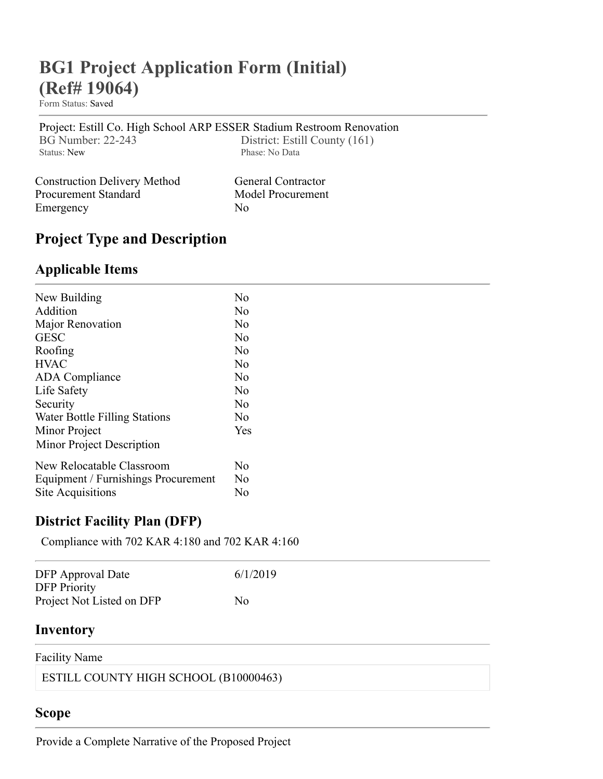# **BG1 Project Application Form (Initial) (Ref# 19064)**

Form Status: [Saved](javascript:;)

[Project: Estill Co. High School ARP ESSER Stadium Restroom Renovation](https://staffkyschools.sharepoint.com/sites/dsapps/KDEConstruction/Lists/bgNum/DispForm.aspx?ID=3692&Source=https%3A%2F%2Fstaffkyschools%2Esharepoint%2Ecom%2Fsites%2Fdsapps%2FKDEConstruction%2FLists%2FbgNum%2FDispForm%2Easpx%3FID%3D3692) BG Number: 22-243 District: Estill County (161)<br>Status: New Phase: No Data Phase: No Data

| <b>Construction Delivery Method</b> | <b>General Contractor</b> |
|-------------------------------------|---------------------------|
| Procurement Standard                | Model Procurement         |
| Emergency                           | $N_{\Omega}$              |

## **Project Type and Description**

### **Applicable Items**

| New Building                        | No             |
|-------------------------------------|----------------|
| Addition                            | No             |
| Major Renovation                    | No             |
| <b>GESC</b>                         | No             |
| Roofing                             | No             |
| <b>HVAC</b>                         | N <sub>0</sub> |
| <b>ADA</b> Compliance               | No             |
| Life Safety                         | N <sub>o</sub> |
| Security                            | No             |
| Water Bottle Filling Stations       | No             |
| Minor Project                       | Yes            |
| Minor Project Description           |                |
| New Relocatable Classroom           | No             |
| Equipment / Furnishings Procurement |                |
| Site Acquisitions                   | No             |

#### **District Facility Plan (DFP)**

Compliance with 702 KAR 4:180 and 702 KAR 4:160

| <b>DFP</b> Approval Date<br><b>DFP</b> Priority | 6/1/2019 |
|-------------------------------------------------|----------|
| Project Not Listed on DFP                       | No       |
| Inventory                                       |          |

#### Facility Name

ESTILL COUNTY HIGH SCHOOL (B10000463)

### **Scope**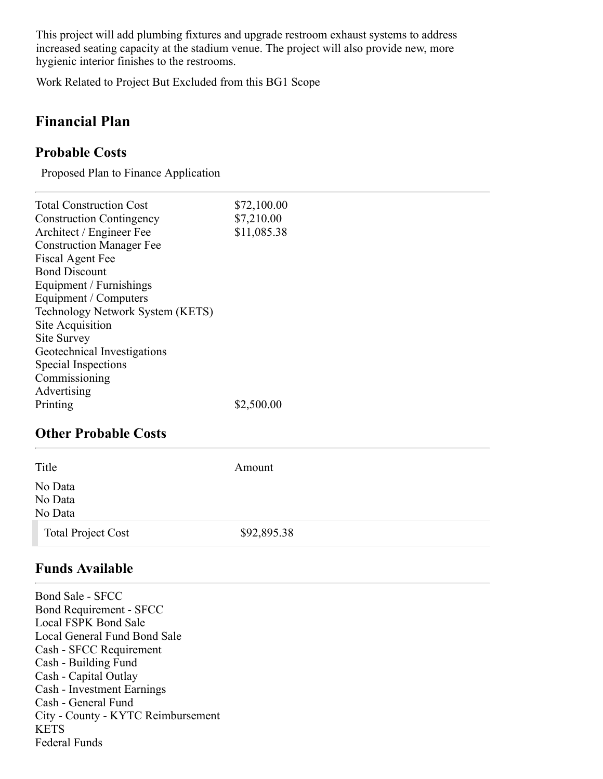This project will add plumbing fixtures and upgrade restroom exhaust systems to address increased seating capacity at the stadium venue. The project will also provide new, more hygienic interior finishes to the restrooms.

Work Related to Project But Excluded from this BG1 Scope

## **Financial Plan**

#### **Probable Costs**

Proposed Plan to Finance Application

| <b>Total Construction Cost</b>   | \$72,100.00 |
|----------------------------------|-------------|
| <b>Construction Contingency</b>  | \$7,210.00  |
| Architect / Engineer Fee         | \$11,085.38 |
| <b>Construction Manager Fee</b>  |             |
| Fiscal Agent Fee                 |             |
| <b>Bond Discount</b>             |             |
| Equipment / Furnishings          |             |
| Equipment / Computers            |             |
| Technology Network System (KETS) |             |
| Site Acquisition                 |             |
| Site Survey                      |             |
| Geotechnical Investigations      |             |
| Special Inspections              |             |
| Commissioning                    |             |
| Advertising                      |             |
| Printing                         | \$2,500.00  |
|                                  |             |
| <b>Other Probable Costs</b>      |             |

| Title                         | Amount      |
|-------------------------------|-------------|
| No Data<br>No Data<br>No Data |             |
| <b>Total Project Cost</b>     | \$92,895.38 |

#### **Funds Available**

Bond Sale - SFCC Bond Requirement - SFCC Local FSPK Bond Sale Local General Fund Bond Sale Cash - SFCC Requirement Cash - Building Fund Cash - Capital Outlay Cash - Investment Earnings Cash - General Fund City - County - KYTC Reimbursement KETS Federal Funds